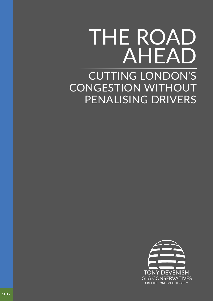# CUTTING LONDON'S CONGESTION WITHOUT PENALISING DRIVERS THE ROAD AHEAD

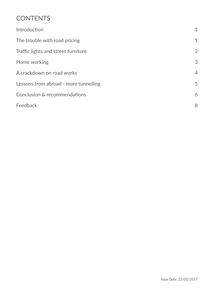#### **CONTENTS**

| Introduction                          | $\mathbf{1}$   |
|---------------------------------------|----------------|
| The trouble with road pricing         | $\mathbf 1$    |
| Traffic lights and street furniture   | $\overline{2}$ |
| Home working                          | 3              |
| A crackdown on road works             | $\overline{4}$ |
| Lessons from abroad - more tunnelling | 5              |
| Conclusion & recommendations          | 6              |
| Feedback                              | 8              |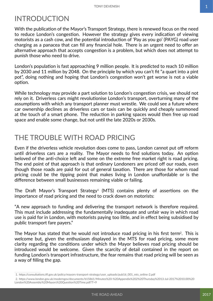### INTRODUCTION

With the publication of the Mayor's Transport Strategy, there is renewed focus on the need to reduce London's congestion. However the strategy gives every indication of viewing motorists as a cash cow, and the potential introduction of 'Pay as you go' (PAYG) road user charging as a panacea that can fill any financial hole. There is an urgent need to offer an alternative approach that accepts congestion is a problem, but which does not attempt to punish those who need to drive.

London's population is fast approaching 9 million people. It is predicted to reach 10 million by 2030 and 11 million by 2048. On the principle by which you can't fit "a quart into a pint pot", doing nothing and hoping that London's congestion won't get worse is not a viable option.

While technology may provide a part solution to London's congestion crisis, we should not rely on it. Driverless cars might revolutionise London's transport, overturning many of the assumptions with which any transport planner must wrestle. We could see a future where car ownership declines as driverless cars or taxis can be quickly and cheaply summoned at the touch of a smart phone. The reduction in parking spaces would then free up road space and enable some change, but not until the late 2020s or 2030s.

# THE TROUBLE WITH ROAD PRICING

Even if the driverless vehicle revolution does come to pass, London cannot put off reform until driverless cars are a reality. The Mayor needs to find solutions today. An option beloved of the anti-choice left and some on the extreme free market right is road pricing. The end point of that approach is that ordinary Londoners are priced off our roads, even though those roads are paid for out of general taxation. There are those for whom road pricing could be the tipping point that makes living in London unaffordable or is the difference between small businesses remaining viable or failing.

The Draft Mayor's Transport Strategy<sup>1</sup> (MTS) contains plenty of assertions on the importance of road pricing and the need to crack down on motorists:

"A new approach to funding and delivering the transport network is therefore required. This must include addressing the fundamentally inadequate and unfair way in which road use is paid for in London, with motorists paying too little, and in effect being subsidised by public transport fare payers."

The Mavor has stated that he would not introduce road pricing in his first term<sup>2</sup>. This is welcome but, given the enthusiasm displayed in the MTS for road pricing, some more clarity regarding the conditions under which the Mayor believes road pricing should be introduced would be welcome. Given the scarcity of detail contained in the report on funding London's transport infrastructure, the fear remains that road pricing will be seen as a way of filling the gap.

<sup>1.</sup>https://consultations.tfl.gov.uk/policy/mayors-transport-strategy/user\_uploads/pub16\_001\_mts\_online-2.pdf

<sup>2.</sup>https://www.london.gov.uk/moderngov/documents/b15861/Minutes%20-%20Appendix%202%20Thursday%2013-Jul-2017%2010.00%20 London%20Assembly%20Mayors%20Question%20Time.pdf?T=9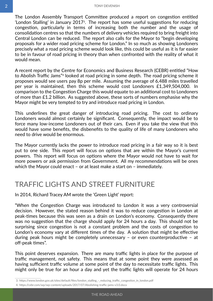<span id="page-3-0"></span>The London Assembly Transport Committee produced a report on congestion entitled 'London Stalling' in January 20173. The report has some useful suggestions for reducing congestion, particularly in terms of increasing both the number and the usage of consolidation centres so that the numbers of delivery vehicles required to bring freight into Central London can be reduced. The report also calls for the Mayor to "begin developing proposals for a wider road pricing scheme for London." In so much as showing Londoners precisely what a road pricing scheme would look like, this could be useful as it is far easier to be in favour of road pricing in theory than when confronted with the reality of what it would mean.

A recent report by the Centre for Economics and Business Research (CEBR) entitled "How to Abolish Traffic Jams"4 looked at road pricing in some depth. The road pricing scheme it proposes would see users pay 8p per mile. Assuming the average of 6,488 miles travelled per year is maintained, then this scheme would cost Londoners £1,349,504,000. In comparison to the Congestion Charge this would equate to an additional cost to Londoners of more than £1.2 billion. As suggested above, these sorts of numbers emphasise why the Mayor might be very tempted to try and introduce road pricing in London.

This underlines the great danger of introducing road pricing. The cost to ordinary Londoners would almost certainly be significant. Consequently, the impact would be to force many low-income Londoners out of their cars. Even if you take the view that this would have some benefits, the disbenefits to the quality of life of many Londoners who need to drive would be enormous.

The Mayor currently lacks the power to introduce road pricing in a fair way so it is best put to one side. This report will focus on options that are within the Mayor's current powers. This report will focus on options where the Mayor would not have to wait for more powers or ask permission from Government. All my recommendations will be ones which the Mayor could enact – or at least make a start on – immediately.

# TRAFFIC LIGHTS AND STREET FURNITURE

In 2014, Richard Tracey AM wrote the 'Green Light' report:

"When the Congestion Charge was introduced to London it was a very controversial decision. However, the stated reason behind it was to reduce congestion in London at peak-times because this was seen as a drain on London's economy. Consequently there was no suggestion that the charge should apply for 24 hours a day. This should not be surprising since congestion is not a constant problem and the costs of congestion to London's economy vary at different times of the day. A solution that might be effective during peak hours might be completely unnecessary – or even counterproductive – at off-peak times".

This point deserves expansion. There are many traffic lights in place for the purpose of traffic management, not safety. This means that at some point they were assessed as having sufficient traffic volume at some point of the day to necessitate traffic lights. This might only be true for an hour a day and yet the traffic lights will operate for 24 hours

<sup>3.</sup>https://www.london.gov.uk/sites/default/files/london\_stalling\_-\_reducing\_traffic\_congestion\_in\_london.pdf

<sup>4.</sup>https://cebr.com/wp/wp-content/uploads/2017/07/Abolishing-traffic-jams-v3.0.docx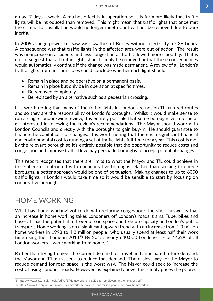<span id="page-4-0"></span>a day, 7 days a week. A ratchet effect is in operation so it is far more likely that traffic lights will be introduced than removed. This might mean that traffic lights that once met the criteria for installation would no longer meet it, but will not be removed due to pure inertia.

In 2009 a huge power cut saw vast swathes of Bexley without electricity for 36 hours. A consequence was that traffic lights in the affected area were out of action. The result was no increase in accidents and less congestion as traffic flowed more smoothly. That is not to suggest that all traffic lights should simply be removed or that these consequences would automatically continue if the change was made permanent. A review of all London's traffic lights from first principles could conclude whether each light should:

- Remain in place and be operative on a permanent basis.
- Remain in place but only be in operation at specific times.
- Be removed completely.
- Be replaced by an alternative such as a pedestrian crossing.

It is worth noting that many of the traffic lights in London are not on TfL-run red routes and so they are the responsibility of London's boroughs. Whilst it would make sense to run a single London-wide review, it is entirely possible that some boroughs will not be at all interested in following the review's recommendations. The Mayor should work with London Councils and directly with the boroughs to gain buy-in. He should guarantee to finance the capital cost of changes. It is worth noting that there is a significant financial and environmental cost to running a set of traffic lights full-time for a year. This cost is met by the relevant borough so it's entirely possible that the opportunity to reduce costs and congestion and improve traffic flow may persuade boroughs to accept potential changes.

This report recognises that there are limits to what the Mayor and TfL could achieve in this sphere if confronted with uncooperative boroughs. Rather than seeking to coerce boroughs, a better approach would be one of persuasion. Making changes to up to 6000 traffic lights in London would take time so it would be sensible to start by focusing on cooperative boroughs.

#### HOME WORKING

What has 'home working' got to do with reducing congestion? The short answer is that an increase in home working takes Londoners off London's roads, trains, Tube, bikes and buses. It has the potential to free-up road space and free up capacity on London's public transport. Home working is on a significant upward trend with an increase from 1.3 million home workers in 1998 to 4.2 million people "who usually spend at least half their work time using their home in 2014."<sup>5</sup> By 2015, nearly 640,000 Londoners - or 14.6% of all London workers – were working from home. <sup>6</sup>

Rather than trying to meet the current demand for travel and anticipated future demand, the Mayor and TfL must seek to reduce that demand. The easiest way for the Mayor to reduce demand for road space is the worst way. The Mayor could seek to increase the cost of using London's roads. However, as explained above, this simply prices the poorest

6.   https://www.tuc.org.uk/workplace-issues/work-life-balance/four-million-people-are-now-homeworkers

<sup>5.</sup>http://www.acas.org.uk/media/pdf/o/3/Homeworking-a-guide-for-employers-and-employees.pdf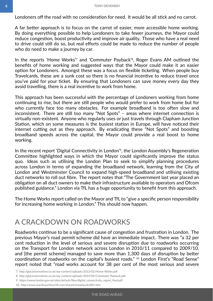Londoners off the road with no consideration for need. It would be all stick and no carrot.

A far better approach is to focus on the carrot of easier, more accessible home working. By doing everything possible to help Londoners to take fewer journeys, the Mayor could reduce congestion, boost productivity and improve air quality. Those who have a real need to drive could still do so, but real efforts could be made to reduce the number of people who do need to make a journey by car.

In the reports 'Home Works'<sup>7</sup> and 'Commuter Payback'<sup>8</sup>, Roger Evans AM outlined the benefits of home working and suggested ways that the Mayor could make it an easier option for Londoners. Amongst these was a focus on flexible ticketing. When people buy Travelcards, these are a sunk cost so there is no financial incentive to reduce travel once you've paid for your ticket. By ensuring that Londoners can save money every day they avoid travelling, there is a real incentive to work from home.

This approach has been successful with the percentage of Londoners working from home continuing to rise, but there are still people who would prefer to work from home but for who currently face too many obstacles. For example broadband is too often slow and inconsistent. There are still too many "Not Spots" – areas where internet connection is virtually non-existent. Anyone who regularly uses or just travels through Clapham Junction Station, which on some measures is the busiest station in Europe, will have noticed their internet cutting out as they approach. By eradicating these "Not Spots" and boosting broadband speeds across the capital, the Mayor could provide a real boost to home working.

In the recent report 'Digital Connectivity in London'9, the London Assembly's Regeneration Committee highlighted ways in which the Mayor could significantly improve the status quo. Ideas such as utilising the London Plan to seek to simplify planning procedures across London in terms of expanding the broadband network, learning from the City of London and Westminster Council to expand high-speed broadband and utilising existing duct networks to roll out fibre. The report notes that "The Government last year placed an obligation on all duct owners to make their infrastructure available to operators and Ofcom published guidance." London via TfL has a huge opportunity to benefit from this approach.

The Home Works report called on the Mayor and TfL to "give a specific person responsibility for increasing home working in London." This should now happen.

#### A CRACKDOWN ON ROADWORKS

Roadworks continue to be a significant cause of congestion and frustration in London. The previous Mayor's road permit scheme did have an immediate impact. There was "a 32 per cent reduction in the level of serious and severe disruption due to roadworks occurring on the Transport for London network across London in 2010/11 compared to 2009/10, and [the permit scheme] managed to save more than 1,300 days of disruption by better coordination of roadworks on the capital's busiest roads." <sup>10</sup> London First's "Road Sense" report noted that "road works account for 38 per cent of the most serious and severe

<sup>7.</sup>http://glaconservatives.co.uk/wp-content/uploads/2013/02/Home-Works.pdf

<sup>8.</sup> http://glaconservatives.co.uk/wp-content/uploads/2014/04/Commuter-Payback.pdf

<sup>9.</sup>https://www.london.gov.uk/sites/default/files/digital\_connectivity\_report\_final.pdf

<sup>10.</sup>http://www.wandsworthsw18.com/shared/eroadworks001.htm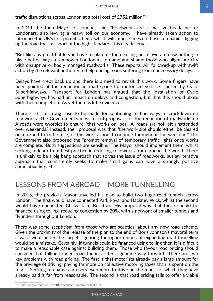traffic disruptions across London at a total cost of £752 million." <sup>11</sup>

In 2011 the then Mayor of London, said, "Roadworks are a massive headache for Londoners, also levying a heavy toll on our economy. I have already taken action to introduce the UK's first permit scheme which will impose fines on those companies digging up the road that fall short of the high standards this city deserves.

"But like any great battle you have to plan for the next big push. We are now putting in place better ways to empower Londoners to name and shame those who blight our city with disruptive or badly managed roadworks. These reports will followed-up with swift action by the relevant authority to help unclog roads suffering from unnecessary delays."

Delays have crept back up and there is a need to revisit this work. Some fingers have been pointed at the reduction in road space for motorised vehicles caused by Cycle Superhighways. Transport for London has argued that the installation of Cycle Superhighways has had an impact on delays and congestion, but that this should abate with their completion. As yet there is little evidence.

There is still a strong case to be made for continuing to find ways to crackdown on roadworks. The Government's most recent proposals for the reduction of roadworks on A-roads were twofold: to ensure "that works on local 'A' roads are not left unattended over weekends." Instead, their proposal was that "the work site should either be cleared or returned to traffic use, or the works should continue throughout the weekend." The Government also proposed the "prompt removal of temporary traffic lights once works are complete." Both suggestions are sensible. The Mayor should implement them, whilst seeking to learn from best practice in reducing roadworks from around the world. There is unlikely to be a big bang approach that solves the issue of roadworks, but an iterative approach that consistently seeks to make small gains can have a strongly positive cumulative impact.

#### LESSONS FROM ABROAD – MORE TUNNELLING

In 2016, the previous Mayor unveiled his plan to build two huge road tunnels across London. The first would have connected Park Royal and Hackney Wick, whilst the second would have connected Chiswick to Beckton. His proposal was that these should be financed using tolling, reducing congestion by 20%, with a network of smaller tunnels and flyunders throughout London.

There was some scepticism from those who are sceptical about any new road scheme. Given the proximity of the release of the plan to the end of Boris Johnson's mayoral term it was swept under the carpet. Ignoring the opportunities of expanding road tunnelling would be a mistake. Certainly, if tunnels could be financed using tolling then it is difficult to make a reasonable case against building them. Those who favour road pricing should consider that tolling-funded road tunnels offer a genuine way forward. There are two key problems with road pricing. The first is that motorists already pay a large amount for the privilege of driving, paying far more on collective motoring taxes than is spent on the roads. Seeking to charge car-users even more to drive on the roads for which they have already paid is far from reasonable. The second is that road pricing fails to offer a viable

11.   http://www.wandsworthsw18.com/shared/eroadworks001.htm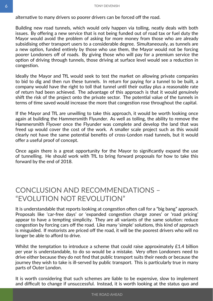alternative to many drivers so poorer drivers can be forced off the road.

Building new road tunnels, which would only happen via tolling, neatly deals with both issues. By offering a new service that is not being funded out of road tax or fuel duty the Mayor would avoid the problem of asking for more money from those who are already subsidising other transport users to a considerable degree. Simultaneously, as tunnels are a new option, funded entirely by those who use them, the Mayor would not be forcing poorer Londoners off of roads. By giving those who will pay for a premium service the option of driving through tunnels, those driving at surface level would see a reduction in congestion.

Ideally the Mayor and TfL would seek to test the market on allowing private companies to bid to dig and then run these tunnels. In return for paying for a tunnel to be built, a company would have the right to toll that tunnel until their outlay plus a reasonable rate of return had been achieved. The advantage of this approach is that it would genuinely shift the risk of the project onto the private sector. The potential value of the tunnels in terms of time saved would increase the more that congestion rose throughout the capital.

If the Mayor and TfL are unwilling to take this approach, it would be worth looking once again at building the Hammersmith Flyunder. As well as tolling, the ability to remove the Hammersmith Flyover once the Flyunder was complete and develop the land that was freed up would cover the cost of the work. A smaller scale project such as this would clearly not have the same potential benefits of cross-London road tunnels, but it would offer a useful proof of concept.

Once again there is a great opportunity for the Mayor to significantly expand the use of tunnelling. He should work with TfL to bring forward proposals for how to take this forward by the end of 2018.

# CONCLUSION AND RECOMMENDATIONS – "EVOLUTION NOT REVOLUTION"

It is understandable that reports looking at congestion often call for a "big bang" approach. Proposals like 'car-free days' or 'expanded congestion charge zones' or 'road pricing' appear to have a tempting simplicity. They are all variants of the same solution: reduce congestion by forcing cars off the road. Like many 'simple' solutions, this kind of approach is misguided. If motorists are priced off the road, it will be the poorest drivers who will no longer be able to afford to drive.

Whilst the temptation to introduce a scheme that could raise approximately £1.4 billion per year is understandable, to do so would be a mistake. Very often Londoners need to drive either because they do not find that public transport suits their needs or because the journey they wish to take is ill-served by public transport. This is particularly true in many parts of Outer London.

It is worth considering that such schemes are liable to be expensive, slow to implement and difficult to change if unsuccessful. Instead, it is worth looking at the status quo and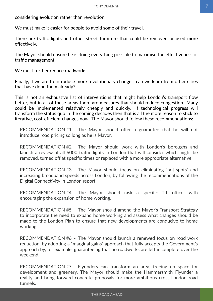<span id="page-8-0"></span>considering evolution rather than revolution.

We must make it easier for people to avoid some of their travel.

There are traffic lights and other street furniture that could be removed or used more effectively.

The Mayor should ensure he is doing everything possible to maximise the effectiveness of traffic management.

We must further reduce roadworks.

Finally, if we are to introduce more revolutionary changes, can we learn from other cities that have done them already?

This is not an exhaustive list of interventions that might help London's transport flow better, but in all of these areas there are measures that should reduce congestion. Many could be implemented relatively cheaply and quickly. If technological progress will transform the status quo in the coming decades then that is all the more reason to stick to iterative, cost-efficient changes now. The Mayor should follow these recommendations:

RECOMMENDATION #1 - The Mayor should offer a guarantee that he will not introduce road pricing so long as he is Mayor.

RECOMMENDATION #2 - The Mayor should work with London's boroughs and launch a review of all 6000 traffic lights in London that will consider which might be removed, turned off at specific times or replaced with a more appropriate alternative.

RECOMMENDATION #3 - The Mayor should focus on eliminating 'not-spots' and increasing broadband speeds across London, by following the recommendations of the Digital Connectivity in London report.

RECOMMENDATION #4 - The Mayor should task a specific TfL officer with encouraging the expansion of home working.

RECOMMENDATION #5 - The Mayor should amend the Mayor's Transport Strategy to incorporate the need to expand home working and assess what changes should be made to the London Plan to ensure that new developments are conducive to home working.

RECOMMENDATION #6 - The Mayor should launch a renewed focus on road work reduction, by adopting a "marginal gains" approach that fully accepts the Government's approach by, for example, guaranteeing that no roadworks are left incomplete over the weekend.

RECOMMENDATION #7 - Flyunders can transform an area, freeing up space for development and greenery. The Mayor should make the Hammersmith Flyunder a reality and bring forward concrete proposals for more ambitious cross-London road tunnels.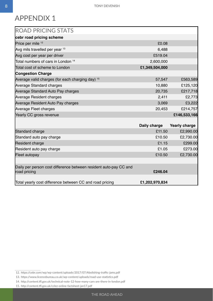# APPENDIX 1

| <b>ROAD PRICING STATS</b>                                                         |                |                      |
|-----------------------------------------------------------------------------------|----------------|----------------------|
| cebr road pricing scheme                                                          |                |                      |
| Price per mile 12                                                                 | £0.08          |                      |
| Avg mils travelled per year 13                                                    | 6,488          |                      |
| Avg cost per year per driver                                                      | £519.04        |                      |
| Total numbers of cars in London <sup>14</sup>                                     | 2,600,000      |                      |
| Total cost of scheme to London                                                    | £1,349,504,000 |                      |
| <b>Congestion Charge</b>                                                          |                |                      |
| Average valid charges (for each charging day) <sup>15</sup>                       | 57,547         | £563,589             |
| <b>Average Standard charges</b>                                                   | 10,880         | £125,120             |
| Average Standard Auto Pay charges                                                 | 20,735         | £217,718             |
| <b>Average Resident charges</b>                                                   | 2,411          | £2,773               |
| Average Resident Auto Pay charges                                                 | 3,069          | £3,222               |
| Average Fleet charges                                                             | 20,453         | £214,757             |
| Yearly CC gross revenue                                                           |                | £146,533,166         |
|                                                                                   |                |                      |
|                                                                                   | Daily charge   | <b>Yearly charge</b> |
| Standard charge                                                                   | £11.50         | £2,990.00            |
| Standard auto pay charge                                                          | £10.50         | £2,730.00            |
| <b>Resident charge</b>                                                            | £1.15          | £299.00              |
| Resident auto pay charge                                                          | £1.05          | £273.00              |
| Fleet autopay                                                                     | £10.50         | £2,730.00            |
|                                                                                   |                |                      |
| Daily per person cost difference between resident auto-pay CC and<br>road pricing | £246.04        |                      |
| Total yearly cost difference between CC and road pricing                          | £1,202,970,834 |                      |

- 14.   http://content.tfl.gov.uk/technical-note-12-how-many-cars-are-there-in-london.pdf
- 15.   http://content.tfl.gov.uk/cclez-online-factsheet-jan17.pdf

<sup>12.</sup>https://cebr.com/wp/wp-content/uploads/2017/07/Abolishing-traffic-jams.pdf

<sup>13.</sup>https://www.licencebureau.co.uk/wp-content/uploads/road-use-statistics.pdf